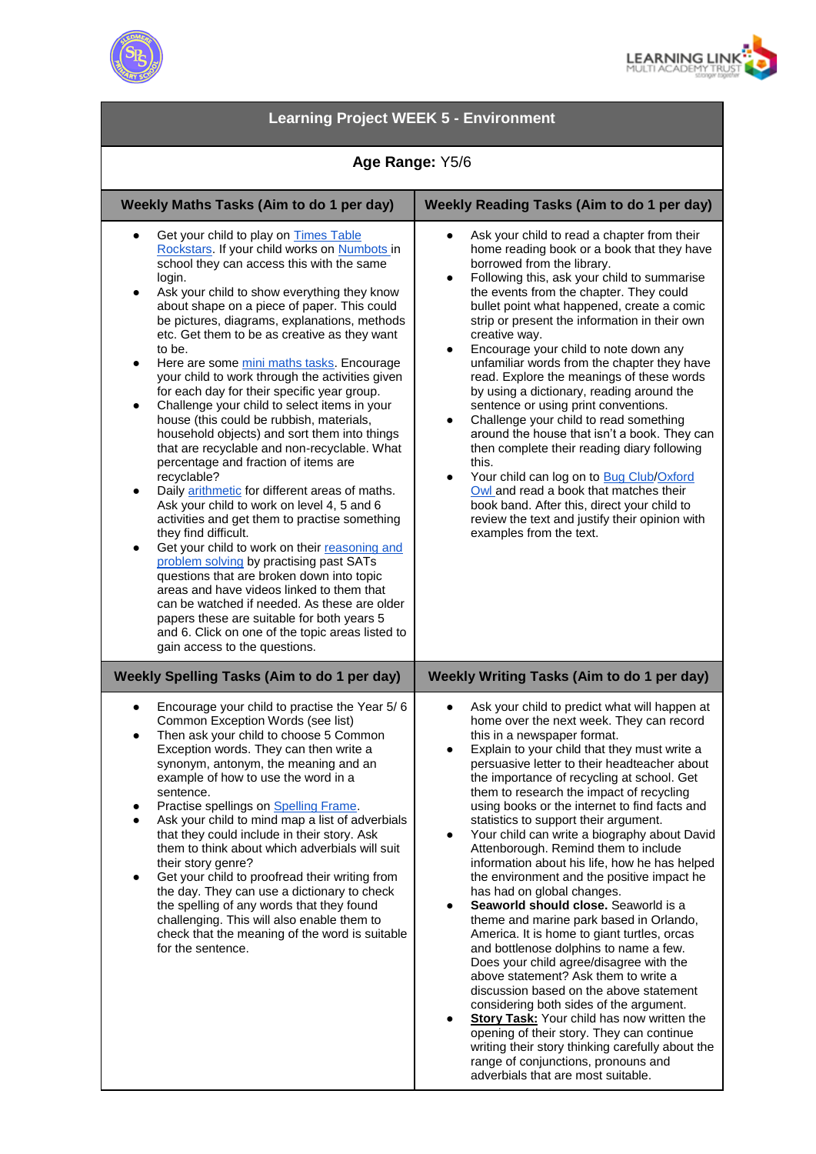



| <b>Learning Project WEEK 5 - Environment</b>                                                                                                                                                                                                                                                                                                                                                                                                                                                                                                                                                                                                                                                                                                                                                                                                                                                                                                                                                                                                                                                                                                                                                                                                                                                                                                              |                                                                                                                                                                                                                                                                                                                                                                                                                                                                                                                                                                                                                                                                                                                                                                                                                                                                                                                                                                                                                                                                                                                                                                                                                                |
|-----------------------------------------------------------------------------------------------------------------------------------------------------------------------------------------------------------------------------------------------------------------------------------------------------------------------------------------------------------------------------------------------------------------------------------------------------------------------------------------------------------------------------------------------------------------------------------------------------------------------------------------------------------------------------------------------------------------------------------------------------------------------------------------------------------------------------------------------------------------------------------------------------------------------------------------------------------------------------------------------------------------------------------------------------------------------------------------------------------------------------------------------------------------------------------------------------------------------------------------------------------------------------------------------------------------------------------------------------------|--------------------------------------------------------------------------------------------------------------------------------------------------------------------------------------------------------------------------------------------------------------------------------------------------------------------------------------------------------------------------------------------------------------------------------------------------------------------------------------------------------------------------------------------------------------------------------------------------------------------------------------------------------------------------------------------------------------------------------------------------------------------------------------------------------------------------------------------------------------------------------------------------------------------------------------------------------------------------------------------------------------------------------------------------------------------------------------------------------------------------------------------------------------------------------------------------------------------------------|
| Age Range: Y5/6                                                                                                                                                                                                                                                                                                                                                                                                                                                                                                                                                                                                                                                                                                                                                                                                                                                                                                                                                                                                                                                                                                                                                                                                                                                                                                                                           |                                                                                                                                                                                                                                                                                                                                                                                                                                                                                                                                                                                                                                                                                                                                                                                                                                                                                                                                                                                                                                                                                                                                                                                                                                |
| Weekly Maths Tasks (Aim to do 1 per day)                                                                                                                                                                                                                                                                                                                                                                                                                                                                                                                                                                                                                                                                                                                                                                                                                                                                                                                                                                                                                                                                                                                                                                                                                                                                                                                  | <b>Weekly Reading Tasks (Aim to do 1 per day)</b>                                                                                                                                                                                                                                                                                                                                                                                                                                                                                                                                                                                                                                                                                                                                                                                                                                                                                                                                                                                                                                                                                                                                                                              |
| Get your child to play on Times Table<br>Rockstars. If your child works on Numbots in<br>school they can access this with the same<br>login.<br>Ask your child to show everything they know<br>٠<br>about shape on a piece of paper. This could<br>be pictures, diagrams, explanations, methods<br>etc. Get them to be as creative as they want<br>to be.<br>Here are some mini maths tasks. Encourage<br>$\bullet$<br>your child to work through the activities given<br>for each day for their specific year group.<br>Challenge your child to select items in your<br>$\bullet$<br>house (this could be rubbish, materials,<br>household objects) and sort them into things<br>that are recyclable and non-recyclable. What<br>percentage and fraction of items are<br>recyclable?<br>Daily arithmetic for different areas of maths.<br>$\bullet$<br>Ask your child to work on level 4, 5 and 6<br>activities and get them to practise something<br>they find difficult.<br>Get your child to work on their reasoning and<br>٠<br>problem solving by practising past SATs<br>questions that are broken down into topic<br>areas and have videos linked to them that<br>can be watched if needed. As these are older<br>papers these are suitable for both years 5<br>and 6. Click on one of the topic areas listed to<br>gain access to the questions. | Ask your child to read a chapter from their<br>home reading book or a book that they have<br>borrowed from the library.<br>Following this, ask your child to summarise<br>$\bullet$<br>the events from the chapter. They could<br>bullet point what happened, create a comic<br>strip or present the information in their own<br>creative way.<br>Encourage your child to note down any<br>$\bullet$<br>unfamiliar words from the chapter they have<br>read. Explore the meanings of these words<br>by using a dictionary, reading around the<br>sentence or using print conventions.<br>Challenge your child to read something<br>$\bullet$<br>around the house that isn't a book. They can<br>then complete their reading diary following<br>this.<br>Your child can log on to Bug Club/Oxford<br>$\bullet$<br>Owl and read a book that matches their<br>book band. After this, direct your child to<br>review the text and justify their opinion with<br>examples from the text.                                                                                                                                                                                                                                            |
| <b>Weekly Spelling Tasks (Aim to do 1 per day)</b>                                                                                                                                                                                                                                                                                                                                                                                                                                                                                                                                                                                                                                                                                                                                                                                                                                                                                                                                                                                                                                                                                                                                                                                                                                                                                                        | Weekly Writing Tasks (Aim to do 1 per day)                                                                                                                                                                                                                                                                                                                                                                                                                                                                                                                                                                                                                                                                                                                                                                                                                                                                                                                                                                                                                                                                                                                                                                                     |
| Encourage your child to practise the Year 5/6<br>٠<br>Common Exception Words (see list)<br>Then ask your child to choose 5 Common<br>Exception words. They can then write a<br>synonym, antonym, the meaning and an<br>example of how to use the word in a<br>sentence.<br>Practise spellings on Spelling Frame.<br>٠<br>Ask your child to mind map a list of adverbials<br>that they could include in their story. Ask<br>them to think about which adverbials will suit<br>their story genre?<br>Get your child to proofread their writing from<br>$\bullet$<br>the day. They can use a dictionary to check<br>the spelling of any words that they found<br>challenging. This will also enable them to<br>check that the meaning of the word is suitable<br>for the sentence.                                                                                                                                                                                                                                                                                                                                                                                                                                                                                                                                                                           | Ask your child to predict what will happen at<br>home over the next week. They can record<br>this in a newspaper format.<br>Explain to your child that they must write a<br>persuasive letter to their headteacher about<br>the importance of recycling at school. Get<br>them to research the impact of recycling<br>using books or the internet to find facts and<br>statistics to support their argument.<br>Your child can write a biography about David<br>Attenborough. Remind them to include<br>information about his life, how he has helped<br>the environment and the positive impact he<br>has had on global changes.<br>Seaworld should close. Seaworld is a<br>theme and marine park based in Orlando,<br>America. It is home to giant turtles, orcas<br>and bottlenose dolphins to name a few.<br>Does your child agree/disagree with the<br>above statement? Ask them to write a<br>discussion based on the above statement<br>considering both sides of the argument.<br><b>Story Task:</b> Your child has now written the<br>٠<br>opening of their story. They can continue<br>writing their story thinking carefully about the<br>range of conjunctions, pronouns and<br>adverbials that are most suitable. |